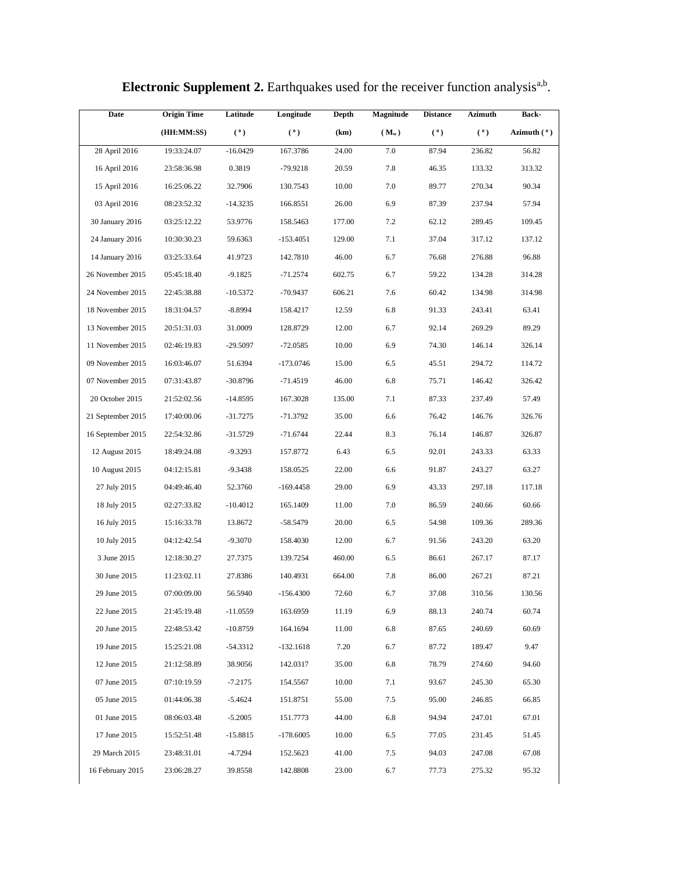| Date              | <b>Origin Time</b> | Latitude   | Longitude   | Depth  | <b>Magnitude</b> | <b>Distance</b> | Azimuth | <b>Back-</b>  |
|-------------------|--------------------|------------|-------------|--------|------------------|-----------------|---------|---------------|
|                   | (HH:MM:SS)         | (°)        | (°)         | (km)   | $(M_w)$          | (°)             | (0)     | Azimuth $(°)$ |
| 28 April 2016     | 19:33:24.07        | $-16.0429$ | 167.3786    | 24.00  | 7.0              | 87.94           | 236.82  | 56.82         |
| 16 April 2016     | 23:58:36.98        | 0.3819     | $-79.9218$  | 20.59  | 7.8              | 46.35           | 133.32  | 313.32        |
| 15 April 2016     | 16:25:06.22        | 32.7906    | 130.7543    | 10.00  | 7.0              | 89.77           | 270.34  | 90.34         |
| 03 April 2016     | 08:23:52.32        | $-14.3235$ | 166.8551    | 26.00  | 6.9              | 87.39           | 237.94  | 57.94         |
| 30 January 2016   | 03:25:12.22        | 53.9776    | 158.5463    | 177.00 | 7.2              | 62.12           | 289.45  | 109.45        |
| 24 January 2016   | 10:30:30.23        | 59.6363    | $-153.4051$ | 129.00 | 7.1              | 37.04           | 317.12  | 137.12        |
| 14 January 2016   | 03:25:33.64        | 41.9723    | 142.7810    | 46.00  | 6.7              | 76.68           | 276.88  | 96.88         |
| 26 November 2015  | 05:45:18.40        | $-9.1825$  | -71.2574    | 602.75 | 6.7              | 59.22           | 134.28  | 314.28        |
| 24 November 2015  | 22:45:38.88        | $-10.5372$ | $-70.9437$  | 606.21 | 7.6              | 60.42           | 134.98  | 314.98        |
| 18 November 2015  | 18:31:04.57        | $-8.8994$  | 158.4217    | 12.59  | 6.8              | 91.33           | 243.41  | 63.41         |
| 13 November 2015  | 20:51:31.03        | 31.0009    | 128.8729    | 12.00  | 6.7              | 92.14           | 269.29  | 89.29         |
| 11 November 2015  | 02:46:19.83        | $-29.5097$ | -72.0585    | 10.00  | 6.9              | 74.30           | 146.14  | 326.14        |
| 09 November 2015  | 16:03:46.07        | 51.6394    | -173.0746   | 15.00  | 6.5              | 45.51           | 294.72  | 114.72        |
| 07 November 2015  | 07:31:43.87        | $-30.8796$ | $-71.4519$  | 46.00  | 6.8              | 75.71           | 146.42  | 326.42        |
| 20 October 2015   | 21:52:02.56        | $-14.8595$ | 167.3028    | 135.00 | 7.1              | 87.33           | 237.49  | 57.49         |
| 21 September 2015 | 17:40:00.06        | $-31.7275$ | -71.3792    | 35.00  | 6.6              | 76.42           | 146.76  | 326.76        |
| 16 September 2015 | 22:54:32.86        | $-31.5729$ | $-71.6744$  | 22.44  | 8.3              | 76.14           | 146.87  | 326.87        |
| 12 August 2015    | 18:49:24.08        | $-9.3293$  | 157.8772    | 6.43   | 6.5              | 92.01           | 243.33  | 63.33         |
| 10 August 2015    | 04:12:15.81        | $-9.3438$  | 158.0525    | 22.00  | 6.6              | 91.87           | 243.27  | 63.27         |
| 27 July 2015      | 04:49:46.40        | 52.3760    | $-169.4458$ | 29.00  | 6.9              | 43.33           | 297.18  | 117.18        |
| 18 July 2015      | 02:27:33.82        | $-10.4012$ | 165.1409    | 11.00  | 7.0              | 86.59           | 240.66  | 60.66         |
| 16 July 2015      | 15:16:33.78        | 13.8672    | -58.5479    | 20.00  | 6.5              | 54.98           | 109.36  | 289.36        |
| 10 July 2015      | 04:12:42.54        | $-9.3070$  | 158.4030    | 12.00  | 6.7              | 91.56           | 243.20  | 63.20         |
| 3 June 2015       | 12:18:30.27        | 27.7375    | 139.7254    | 460.00 | 6.5              | 86.61           | 267.17  | 87.17         |
| 30 June 2015      | 11:23:02.11        | 27.8386    | 140.4931    | 664.00 | 7.8              | 86.00           | 267.21  | 87.21         |
| 29 June 2015      | 07:00:09.00        | 56.5940    | $-156.4300$ | 72.60  | 6.7              | 37.08           | 310.56  | 130.56        |
| 22 June 2015      | 21:45:19.48        | $-11.0559$ | 163.6959    | 11.19  | 6.9              | 88.13           | 240.74  | 60.74         |
| 20 June 2015      | 22:48:53.42        | $-10.8759$ | 164.1694    | 11.00  | 6.8              | 87.65           | 240.69  | 60.69         |
| 19 June 2015      | 15:25:21.08        | $-54.3312$ | $-132.1618$ | 7.20   | 6.7              | 87.72           | 189.47  | 9.47          |
| 12 June 2015      | 21:12:58.89        | 38.9056    | 142.0317    | 35.00  | 6.8              | 78.79           | 274.60  | 94.60         |
| 07 June 2015      | 07:10:19.59        | $-7.2175$  | 154.5567    | 10.00  | 7.1              | 93.67           | 245.30  | 65.30         |
| 05 June 2015      | 01:44:06.38        | $-5.4624$  | 151.8751    | 55.00  | 7.5              | 95.00           | 246.85  | 66.85         |
| 01 June 2015      | 08:06:03.48        | $-5.2005$  | 151.7773    | 44.00  | 6.8              | 94.94           | 247.01  | 67.01         |
| 17 June 2015      | 15:52:51.48        | $-15.8815$ | -178.6005   | 10.00  | 6.5              | 77.05           | 231.45  | 51.45         |
| 29 March 2015     | 23:48:31.01        | $-4.7294$  | 152.5623    | 41.00  | 7.5              | 94.03           | 247.08  | 67.08         |
| 16 February 2015  | 23:06:28.27        | 39.8558    | 142.8808    | 23.00  | 6.7              | 77.73           | 275.32  | 95.32         |
|                   |                    |            |             |        |                  |                 |         |               |

**Electronic Supplement 2.** Earthquakes used for the receiver function analysis<sup>a,b</sup>.